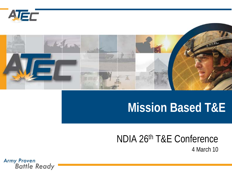



### **Mission Based T&E**

### NDIA 26th T&E Conference

4 March 10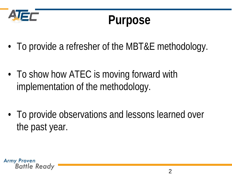

## **Purpose**

- To provide a refresher of the MBT&E methodology.
- To show how ATEC is moving forward with implementation of the methodology.
- To provide observations and lessons learned over the past year.

**Army Proven** Battle Ready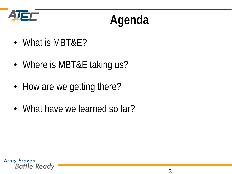

# **Agenda**

- What is MBT&E?
- Where is MBT&E taking us?
- How are we getting there?
- What have we learned so far?

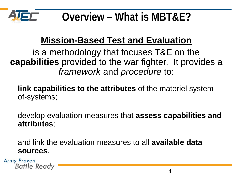

**Overview – What is MBT&E?**

### **Mission-Based Test and Evaluation**

is a methodology that focuses T&E on the **capabilities** provided to the war fighter. It provides a *framework* and *procedure* to:

- **link capabilities to the attributes** of the materiel systemof-systems;
- develop evaluation measures that **assess capabilities and attributes**;
- and link the evaluation measures to all **available data sources**.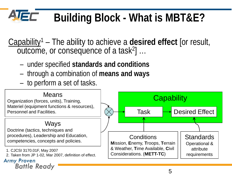### **AJEF Building Block - What is MBT&E?**

Capability1 – The ability to achieve a **desired effect** [or result, outcome, or consequence of a task2] …

- under specified **standards and conditions**
- through a combination of **means and ways**
- to perform a set of tasks.

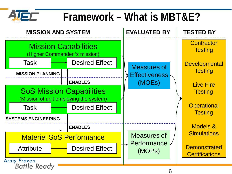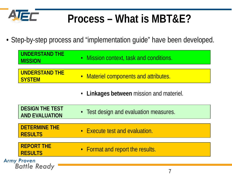

### **Process – What is MBT&E?**

• Step-by-step process and "implementation guide" have been developed.

| <b>UNDERSTAND THE</b><br><b>MISSION</b>         | • Mission context, task and conditions.  |
|-------------------------------------------------|------------------------------------------|
| <b>UNDERSTAND THE</b><br><b>SYSTEM</b>          | • Materiel components and attributes.    |
|                                                 | • Linkages between mission and materiel. |
| <b>DESIGN THE TEST</b><br><b>AND EVALUATION</b> | • Test design and evaluation measures.   |
| <b>DETERMINE THE</b><br><b>RESULTS</b>          | • Execute test and evaluation.           |
| <b>REPORT THE</b><br><b>RESULTS</b>             | • Format and report the results.         |
| <b>Army Proven</b><br><b>Battle Ready</b>       |                                          |

7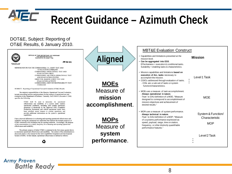

**Army Proven** 

**Battle Ready** 

### **Recent Guidance – Azimuth Check**

#### DOT&E, Subject: Reporting of OT&E Results, 6 January 2010.

|                                                                                                                                                                                                                                                                                                                                                                                                                                                                                                                                                                                                                                                                                                    |                                          | <b>MBT&amp;E Evaluation Construct</b>                                                                                                                                                                                                                                                           |                                                    |
|----------------------------------------------------------------------------------------------------------------------------------------------------------------------------------------------------------------------------------------------------------------------------------------------------------------------------------------------------------------------------------------------------------------------------------------------------------------------------------------------------------------------------------------------------------------------------------------------------------------------------------------------------------------------------------------------------|------------------------------------------|-------------------------------------------------------------------------------------------------------------------------------------------------------------------------------------------------------------------------------------------------------------------------------------------------|----------------------------------------------------|
| OFFICE OF THE SECRETARY OF DEFENSE<br><b>1700 DEFENSE PENTAGON</b><br>WASHINGTON, DC 20301-1700<br><b>JAN 0 6 2010</b>                                                                                                                                                                                                                                                                                                                                                                                                                                                                                                                                                                             | <b>Aligned</b>                           | • Capabilities and limitations presented at the<br>mission level.<br>Can be aggregated into ESS.<br>Effectiveness = execution & conditional tasks.                                                                                                                                              | <b>Mission</b>                                     |
| MEMORANDUM FOR THE COMMANDER, U.S. ARMY TEST AND<br><b>EVALUATION COMMAND</b><br>COMMANDER, OPERATIONAL TEST AND<br><b>EVALUATION FORCE</b><br>COMMANDER, AIR FORCE OPERATIONAL TEST<br>AND EVALUATION CENTER<br>DIRECTOR, MARINE CORPS TEST AND<br><b>EVALUATION ACTIVITY</b><br>COMMANDER, JOINT INTEROPERABILITY TEST<br><b>COMMAND</b>                                                                                                                                                                                                                                                                                                                                                         | <b>MOEs</b>                              | Suitability = enabling tasks & characteristics.<br>• Mission capabilities and limitations based on<br>execution of ALL tasks necessary to<br>accomplish the mission.<br>• COI/Cs addressed through evaluation of tasks.<br>- COIs are a sub-set of tasks or system<br>function/characteristics. | Level 1 Task                                       |
| SUBJECT: Reporting of Operational Test and Evaluation (OT&E) Results<br>The statutory responsibilities of the Director, Operational Test and Evaluation,<br>include prescribing policies and procedures for the conduct of operational test and<br>evaluation in the Department of Defense. Currently, DoDI 5000.02 (December 8, 2008)<br>specifies the following:<br>OT&E shall be used to determine the operational<br>effectiveness and suitability of a system under realistic<br>operational conditions, including joint combat operations;<br>determine if thresholds in the approved CPD [Capability                                                                                        | Measure of<br>mission<br>accomplishment. | • MOEs are a measure of task accomplishment.<br>- Always operational in nature.<br>- Truer to DAU definition of a MOE; "Measure<br>designed to correspond to accomplishment of<br>mission objectives and achievement of<br>desired results."                                                    | <b>MOE</b>                                         |
| Production Document] and critical operational issues have<br>been satisfied; assess impacts to combat operations; and<br>provide additional information on the system's operational<br>capabilities.<br>I have observed differences in evaluating and reporting operational effectiveness and<br>suitability among the operational test authorities that indicate the multiple purposes of<br>OT&E contained in this definition may be causing confusion. Accordingly, the purpose<br>of this memorandum is to clarify the policy for evaluating and reporting operational<br>effectiveness and suitability.<br>The primary purpose of initial OT&E is contained in the first clause quoted above: | <b>MOPS</b><br>Measure of                | • MOPs are a measure of system performance.<br>- Always technical in nature.<br>- Truer to DAU definition of a MOP; "Measure<br>of a systems performance expressed as<br>speed, payload, range, time on station,<br>frequency, or other distinctly quantifiable<br>performance features."       | System & Function/<br>Characteristic<br><b>MOP</b> |
| to determine operational effectiveness and suitability. The context of the determination is<br>discussed clearly in the manual for the Joint Capabilities Integration and Development<br>System (JCIDS). In that manual, operational effectiveness is defined as follows:                                                                                                                                                                                                                                                                                                                                                                                                                          | system<br>performance.                   |                                                                                                                                                                                                                                                                                                 | Level 2 Task                                       |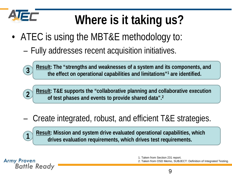

**3**

**1**

**Battle Ready** 

**Army Proven** 

# **Where is it taking us?**

- ATEC is using the MBT&E methodology to:
	- Fully addresses recent acquisition initiatives.





### – Create integrated, robust, and efficient T&E strategies.

**Result: Mission and system drive evaluated operational capabilities, which drives evaluation requirements, which drives test requirements.**

> 1. Taken from Section 231 report. 2. Taken from OSD Memo, SUBJECT: Definition of Integrated Testing.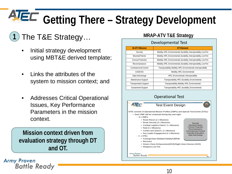# **Getting There – Strategy Development**

### **1** The T&E Strategy... MRAP-ATV T&E Strategy

- Initial strategy development using MBT&E derived template;
- Links the attributes of the system to mission context; and
- Addresses Critical Operational Issues, Key Performance Parameters in the mission context.

**Mission context driven from evaluation strategy through DT and OT.**

**Army Proven Battle Ready** 

#### Developmental Test

| <b>M-ATV Mission</b>          | <b>DT Element</b>                                                     |
|-------------------------------|-----------------------------------------------------------------------|
| Security                      | Mobility, HFE, Environmental, Durability, Interoperability, Live Fire |
| Mounted Patrols               | Mobility, HFE, Environmental, Durability, Interoperability, Live Fire |
| Convoy Protection             | Mobility, HFE, Environmental, Durability, Interoperability, Live Fire |
| Reconnaissance                | Mobility, HFE, Environmental, Durability, Interoperability, Live Fire |
| Command and Control           | Transportability, Mobility, HFE, Environmental, Interoperability      |
| <b>CASEVAC</b>                | Mobility, HFE, Environmental                                          |
| Data Interchange              | HFE, Environmental, Interoperability                                  |
| Maintenance Support           | Transportability, HFE, Durability, Environmental                      |
| <b>Transportation Support</b> | Transportability, Mobility, HFE, Environmental                        |
| Sustainment Support           | Transportability, HFE, Durability, Environmental                      |

#### Operational Test



10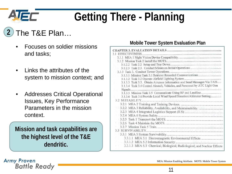

# **Getting There - Planning**

#### The T&E Plan… **2**

- Focuses on soldier missions and tasks;
- Links the attributes of the system to mission context; and
- Addresses Critical Operational Issues, Key Performance Parameters in the mission context.

**Mission and task capabilities are the highest level of the T&E dendritic.**

### **Mobile Tower System Evaluation Plan**

| <b>EFFECTIVENESS</b>                                                        |
|-----------------------------------------------------------------------------|
|                                                                             |
|                                                                             |
|                                                                             |
|                                                                             |
|                                                                             |
|                                                                             |
|                                                                             |
| 3.1.3.3 Task 3.3. Obtain Airspace Information and Send Messages Via TAIS    |
| 3.1.3.4 Task 3.4 Control Aircraft, Vehicles, and Personnel by ATC Light Gun |
|                                                                             |
| 3.1.3.6 Task 3.6 Provide Local Wind Speed/Direction/Altimeter Setting       |
|                                                                             |
|                                                                             |
|                                                                             |
|                                                                             |
|                                                                             |
|                                                                             |
|                                                                             |
|                                                                             |
|                                                                             |
|                                                                             |
|                                                                             |
| 3.3.1.1 MEA 5.1 Electromagnetic Environmental Effects                       |
|                                                                             |
| 3.3.1.3 MEA 5.3 Chemical, Biological, Radiological, and Nuclear Effects     |
|                                                                             |

**Army Proven Battle Ready** 

MEA: Mission Enabling Attribute. MOTS: Mobile Tower System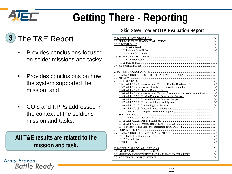

**Army Proven** 

**Battle Ready** 

# **Getting There - Reporting**

#### The T&E Report… **3**

- Provides conclusions focused on solder missions and tasks;
- Provides conclusions on how the system supported the mission; and
- COIs and KPPs addressed in the context of the soldier's mission and tasks.

**All T&E results are related to the mission and task.**

#### **Skid Steer Loader OTA Evaluation Report**

| 2.3.4 ART 4.1.7.2. Construct and Maintain Sustainment Lines of Communications.  2-2 |
|-------------------------------------------------------------------------------------|
|                                                                                     |
|                                                                                     |
|                                                                                     |
|                                                                                     |
|                                                                                     |
|                                                                                     |
|                                                                                     |
|                                                                                     |
|                                                                                     |
|                                                                                     |
|                                                                                     |
|                                                                                     |
|                                                                                     |
|                                                                                     |
|                                                                                     |
|                                                                                     |
|                                                                                     |
|                                                                                     |
|                                                                                     |
|                                                                                     |
|                                                                                     |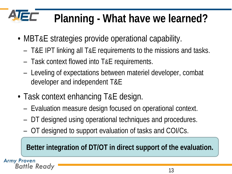# **Planning - What have we learned?**

- MBT&E strategies provide operational capability.
	- T&E IPT linking all T&E requirements to the missions and tasks.
	- Task context flowed into T&E requirements.
	- Leveling of expectations between materiel developer, combat developer and independent T&E
- Task context enhancing T&E design.
	- Evaluation measure design focused on operational context.
	- DT designed using operational techniques and procedures.
	- OT designed to support evaluation of tasks and COI/Cs.

**Better integration of DT/OT in direct support of the evaluation.**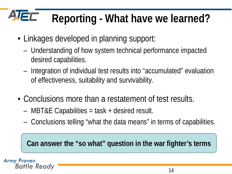### **JEC Reporting - What have we learned?**

- Linkages developed in planning support:
	- Understanding of how system technical performance impacted desired capabilities.
	- Integration of individual test results into "accumulated" evaluation of effectiveness, suitability and survivability.
- Conclusions more than a restatement of test results.
	- MBT&E Capabilities = task + desired result.
	- Conclusions telling "what the data means" in terms of capabilities.

**Can answer the "so what" question in the war fighter's terms**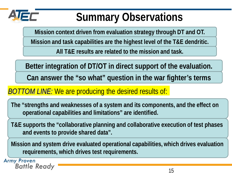

### **Summary Observations**

**Mission context driven from evaluation strategy through DT and OT.**

**Mission and task capabilities are the highest level of the T&E dendritic.**

**All T&E results are related to the mission and task.**

**Better integration of DT/OT in direct support of the evaluation.**

**Can answer the "so what" question in the war fighter's terms**

### *BOTTOM LINE:* We are producing the desired results of:

**The "strengths and weaknesses of a system and its components, and the effect on operational capabilities and limitations" are identified.**

**T&E supports the "collaborative planning and collaborative execution of test phases and events to provide shared data".**

**Mission and system drive evaluated operational capabilities, which drives evaluation requirements, which drives test requirements.**